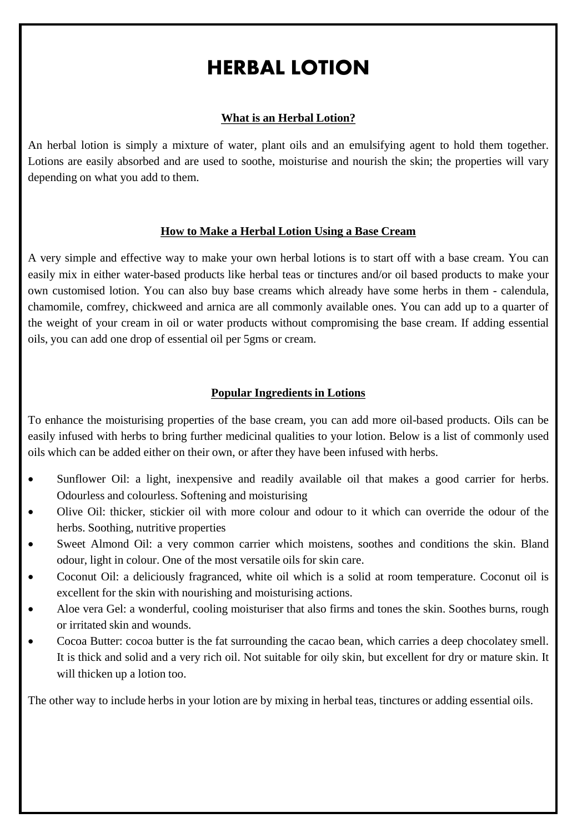# HERBAL LOTION

### **What is an Herbal Lotion?**

An herbal lotion is simply a mixture of water, plant oils and an emulsifying agent to hold them together. Lotions are easily absorbed and are used to soothe, moisturise and nourish the skin; the properties will vary depending on what you add to them.

#### **How to Make a Herbal Lotion Using a Base Cream**

A very simple and effective way to make your own herbal lotions is to start off with a base cream. You can easily mix in either water-based products like herbal teas or tinctures and/or oil based products to make your own customised lotion. You can also buy base creams which already have some herbs in them - calendula, chamomile, comfrey, chickweed and arnica are all commonly available ones. You can add up to a quarter of the weight of your cream in oil or water products without compromising the base cream. If adding essential oils, you can add one drop of essential oil per 5gms or cream.

## **Popular Ingredients in Lotions**

To enhance the moisturising properties of the base cream, you can add more oil-based products. Oils can be easily infused with herbs to bring further medicinal qualities to your lotion. Below is a list of commonly used oils which can be added either on their own, or after they have been infused with herbs.

- Sunflower Oil: a light, inexpensive and readily available oil that makes a good carrier for herbs. Odourless and colourless. Softening and moisturising
- Olive Oil: thicker, stickier oil with more colour and odour to it which can override the odour of the herbs. Soothing, nutritive properties
- Sweet Almond Oil: a very common carrier which moistens, soothes and conditions the skin. Bland odour, light in colour. One of the most versatile oils for skin care.
- Coconut Oil: a deliciously fragranced, white oil which is a solid at room temperature. Coconut oil is excellent for the skin with nourishing and moisturising actions.
- Aloe vera Gel: a wonderful, cooling moisturiser that also firms and tones the skin. Soothes burns, rough or irritated skin and wounds.
- Cocoa Butter: cocoa butter is the fat surrounding the cacao bean, which carries a deep chocolatey smell. It is thick and solid and a very rich oil. Not suitable for oily skin, but excellent for dry or mature skin. It will thicken up a lotion too.

The other way to include herbs in your lotion are by mixing in herbal teas, tinctures or adding essential oils.